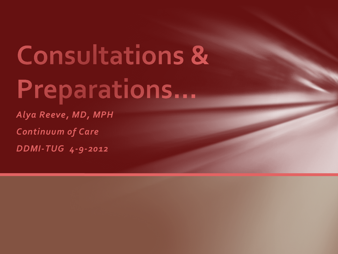# **Consultations &** Preparations...

*Alya Reeve, MD, MPH Continuum of Care DDMI-TUG 4-9-2012*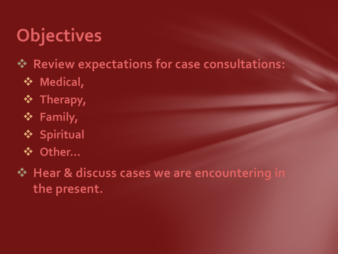## **Objectives**

#### **Review expectations for case consultations:**

- **Medical,**
- $\mathbf{\hat{P}}$  Therapy,
- **Family,**
- **Spiritual**
- **Other…**

 $\diamond$  **Hear & discuss cases we are encountering in the present.**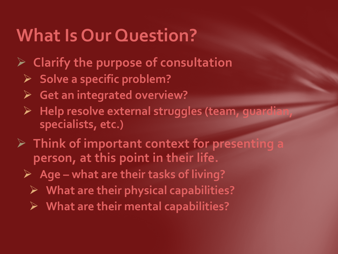#### **What Is Our Question?**

- **Clarify the purpose of consultation**
	- **Solve a specific problem?**
	- **Get an integrated overview?**
	- **Help resolve external struggles (team, guardian, specialists, etc.)**
- **Think of important context for presenting a person, at this point in their life.**
	- **Age – what are their tasks of living?**
		- **What are their physical capabilities?**
		- **What are their mental capabilities?**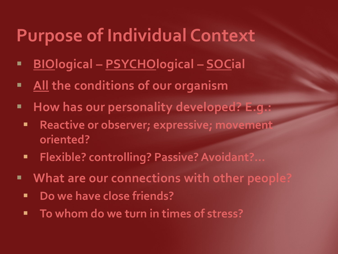#### **Purpose of Individual Context**

- **BIOlogical – PSYCHOlogical – SOCial**
- **All the conditions of our organism**
- **How has our personality developed? E.g.:** 
	- **Reactive or observer; expressive; movement oriented?**
	- **Flexible? controlling? Passive? Avoidant?...**
- **What are our connections with other people?**
	- **P** Do we have close friends?
	- **To whom do we turn in times of stress?**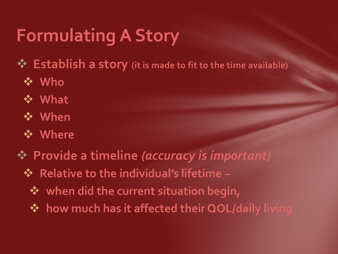## **Formulating A Story**

**Establish a story (it is made to fit to the time available)**

- **Who**
- **What**
- **When**
- **Where**
- **Provide a timeline** *(accuracy is important)*
	- $\div$  Relative to the individual's lifetime ~
		- **when did the current situation begin,**
		- **❖ how much has it affected their QOL/daily living**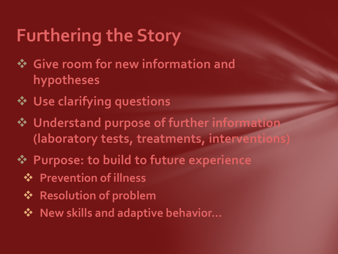## **Furthering the Story**

- **Give room for new information and hypotheses**
- **Use clarifying questions**
- **Understand purpose of further information (laboratory tests, treatments, interventions)**
- **Purpose: to build to future experience**
	- **Prevention of illness**
	- **❖ Resolution of problem**
	- **❖** New skills and adaptive behavior...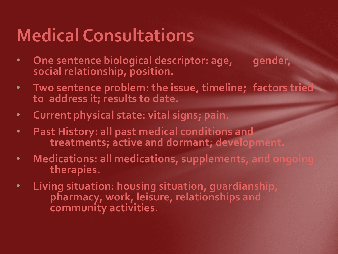## **Medical Consultations**

- **One sentence biological descriptor: age, gender, social relationship, position.**
- **Two sentence problem: the issue, timeline; factors tried to address it; results to date.**
- **Current physical state: vital signs; pain.**
- **Past History: all past medical conditions and treatments; active and dormant; development.**
- **Medications: all medications, supplements, and ongoing therapies.**
- **Living situation: housing situation, guardianship, pharmacy, work, leisure, relationships and community activities.**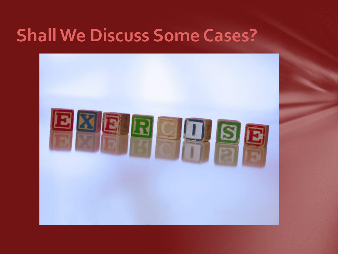#### **Shall We Discuss Some Cases?**

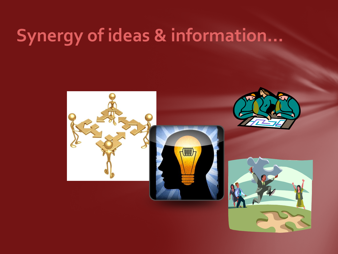#### **Synergy of ideas & information…**